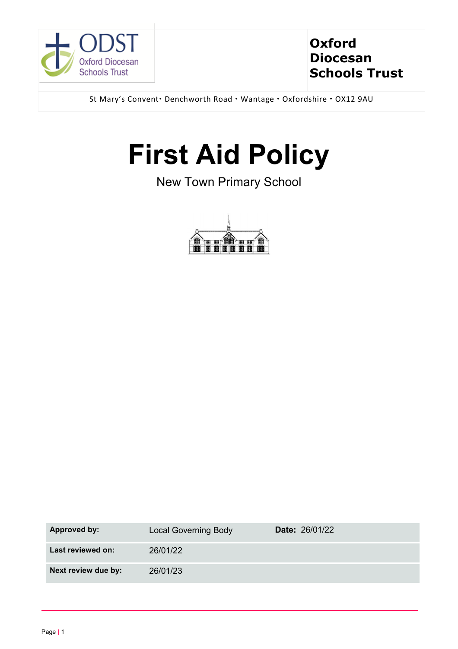

# **Oxford Diocesan Schools Trust**

St Mary's Convent · Denchworth Road · Wantage · Oxfordshire · OX12 9AU

# **First Aid Policy**

New Town Primary School



| Approved by:        | <b>Local Governing Body</b> | <b>Date: 26/01/22</b> |
|---------------------|-----------------------------|-----------------------|
| Last reviewed on:   | 26/01/22                    |                       |
| Next review due by: | 26/01/23                    |                       |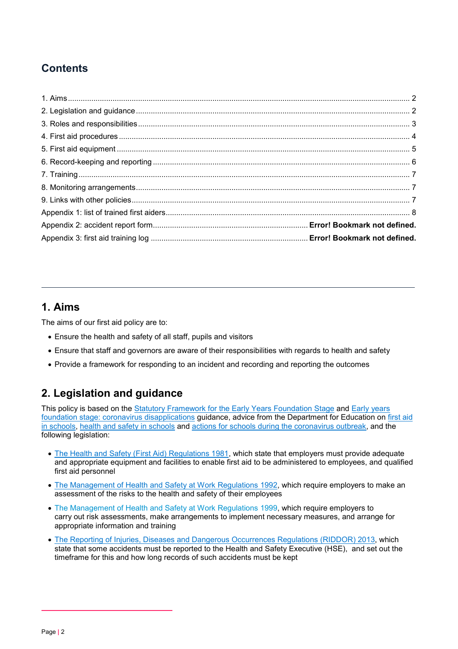# **Contents**

## <span id="page-1-0"></span>**1. Aims**

The aims of our first aid policy are to:

- Ensure the health and safety of all staff, pupils and visitors
- Ensure that staff and governors are aware of their responsibilities with regards to health and safety
- Provide a framework for responding to an incident and recording and reporting the outcomes

## <span id="page-1-1"></span>**2. Legislation and guidance**

This policy is based on the [Statutory Framework for the Early Years Foundation Stage](https://www.gov.uk/government/publications/early-years-foundation-stage-framework--2) and [Early years](https://www.gov.uk/government/publications/early-years-foundation-stage-framework--2/early-years-foundation-stage-coronavirus-disapplications)  [foundation stage: coronavirus disapplications](https://www.gov.uk/government/publications/early-years-foundation-stage-framework--2/early-years-foundation-stage-coronavirus-disapplications) guidance, advice from the Department for Education on [first aid](https://www.gov.uk/government/publications/first-aid-in-schools)  [in schools,](https://www.gov.uk/government/publications/first-aid-in-schools) [health and safety in schools](https://www.gov.uk/government/publications/health-and-safety-advice-for-schools) and [actions for schools during the coronavirus outbreak,](https://www.gov.uk/government/publications/actions-for-schools-during-the-coronavirus-outbreak) and the following legislation:

- [The Health and Safety \(First Aid\) Regulations 1981,](http://www.legislation.gov.uk/uksi/1981/917/regulation/3/made) which state that employers must provide adequate and appropriate equipment and facilities to enable first aid to be administered to employees, and qualified first aid personnel
- [The Management of Health and Safety at Work Regulations 1992,](http://www.legislation.gov.uk/uksi/1992/2051/regulation/3/made) which require employers to make an assessment of the risks to the health and safety of their employees
- [The Management of Health and Safety at Work Regulations 1999,](http://www.legislation.gov.uk/uksi/1999/3242/contents/made) which require employers to carry out risk assessments, make arrangements to implement necessary measures, and arrange for appropriate information and training
- [The Reporting of Injuries, Diseases and Dangerous Occurrences Regulations](http://www.legislation.gov.uk/uksi/2013/1471/schedule/1/paragraph/1/made) (RIDDOR) 2013, which state that some accidents must be reported to the Health and Safety Executive (HSE), and set out the timeframe for this and how long records of such accidents must be kept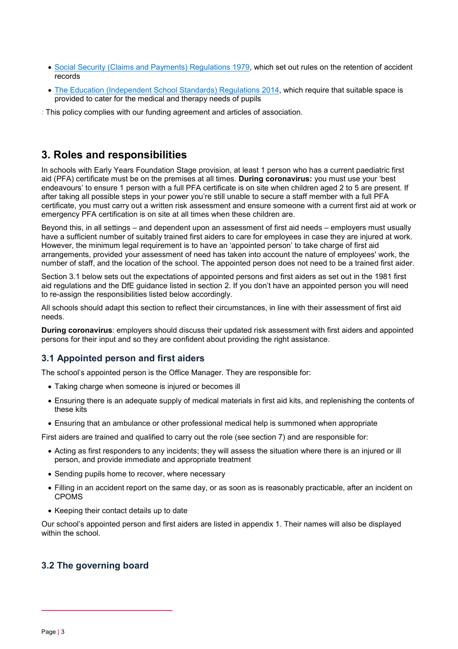- [Social Security \(Claims and Payments\) Regulations 1979,](http://www.legislation.gov.uk/uksi/1979/628) which set out rules on the retention of accident records
- [The Education \(Independent School Standards\) Regulations 2014,](http://www.legislation.gov.uk/uksi/2014/3283/schedule/made) which require that suitable space is provided to cater for the medical and therapy needs of pupils
- *:* This policy complies with our funding agreement and articles of association.

## <span id="page-2-0"></span>**3. Roles and responsibilities**

In schools with Early Years Foundation Stage provision, at least 1 person who has a current paediatric first aid (PFA) certificate must be on the premises at all times. **During coronavirus:** you must use your 'best endeavours' to ensure 1 person with a full PFA certificate is on site when children aged 2 to 5 are present. If after taking all possible steps in your power you're still unable to secure a staff member with a full PFA certificate, you must carry out a written risk assessment and ensure someone with a current first aid at work or emergency PFA certification is on site at all times when these children are.

Beyond this, in all settings – and dependent upon an assessment of first aid needs – employers must usually have a sufficient number of suitably trained first aiders to care for employees in case they are injured at work. However, the minimum legal requirement is to have an 'appointed person' to take charge of first aid arrangements, provided your assessment of need has taken into account the nature of employees' work, the number of staff, and the location of the school. The appointed person does not need to be a trained first aider.

Section 3.1 below sets out the expectations of appointed persons and first aiders as set out in the 1981 first aid regulations and the DfE guidance listed in section 2. If you don't have an appointed person you will need to re-assign the responsibilities listed below accordingly.

All schools should adapt this section to reflect their circumstances, in line with their assessment of first aid needs.

**During coronavirus**: employers should discuss their updated risk assessment with first aiders and appointed persons for their input and so they are confident about providing the right assistance.

#### **3.1 Appointed person and first aiders**

The school's appointed person is the Office Manager. They are responsible for:

- Taking charge when someone is injured or becomes ill
- Ensuring there is an adequate supply of medical materials in first aid kits, and replenishing the contents of these kits
- Ensuring that an ambulance or other professional medical help is summoned when appropriate

First aiders are trained and qualified to carry out the role (see section 7) and are responsible for:

- Acting as first responders to any incidents; they will assess the situation where there is an injured or ill person, and provide immediate and appropriate treatment
- Sending pupils home to recover, where necessary
- Filling in an accident report on the same day, or as soon as is reasonably practicable, after an incident on CPOMS
- Keeping their contact details up to date

Our school's appointed person and first aiders are listed in appendix 1. Their names will also be displayed within the school

#### **3.2 The governing board**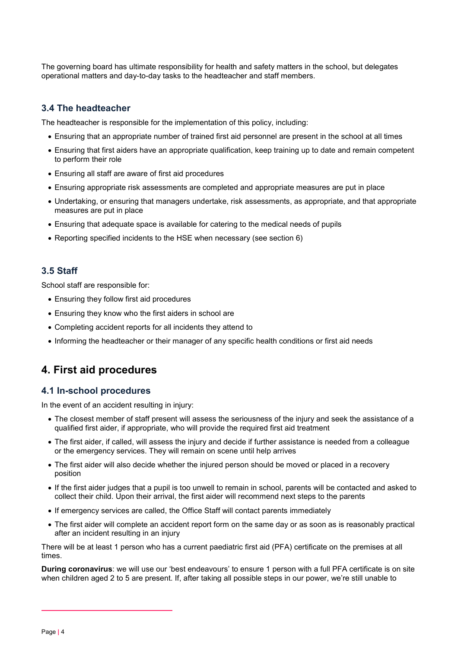The governing board has ultimate responsibility for health and safety matters in the school, but delegates operational matters and day-to-day tasks to the headteacher and staff members.

#### **3.4 The headteacher**

The headteacher is responsible for the implementation of this policy, including:

- Ensuring that an appropriate number of trained first aid personnel are present in the school at all times
- Ensuring that first aiders have an appropriate qualification, keep training up to date and remain competent to perform their role
- Ensuring all staff are aware of first aid procedures
- Ensuring appropriate risk assessments are completed and appropriate measures are put in place
- Undertaking, or ensuring that managers undertake, risk assessments, as appropriate, and that appropriate measures are put in place
- Ensuring that adequate space is available for catering to the medical needs of pupils
- Reporting specified incidents to the HSE when necessary (see section 6)

#### **3.5 Staff**

School staff are responsible for:

- Ensuring they follow first aid procedures
- Ensuring they know who the first aiders in school are
- Completing accident reports for all incidents they attend to
- Informing the headteacher or their manager of any specific health conditions or first aid needs

#### <span id="page-3-0"></span>**4. First aid procedures**

#### **4.1 In-school procedures**

In the event of an accident resulting in injury:

- The closest member of staff present will assess the seriousness of the injury and seek the assistance of a qualified first aider, if appropriate, who will provide the required first aid treatment
- The first aider, if called, will assess the injury and decide if further assistance is needed from a colleague or the emergency services. They will remain on scene until help arrives
- The first aider will also decide whether the injured person should be moved or placed in a recovery position
- If the first aider judges that a pupil is too unwell to remain in school, parents will be contacted and asked to collect their child. Upon their arrival, the first aider will recommend next steps to the parents
- If emergency services are called, the Office Staff will contact parents immediately
- The first aider will complete an accident report form on the same day or as soon as is reasonably practical after an incident resulting in an injury

There will be at least 1 person who has a current paediatric first aid (PFA) certificate on the premises at all times.

**During coronavirus**: we will use our 'best endeavours' to ensure 1 person with a full PFA certificate is on site when children aged 2 to 5 are present. If, after taking all possible steps in our power, we're still unable to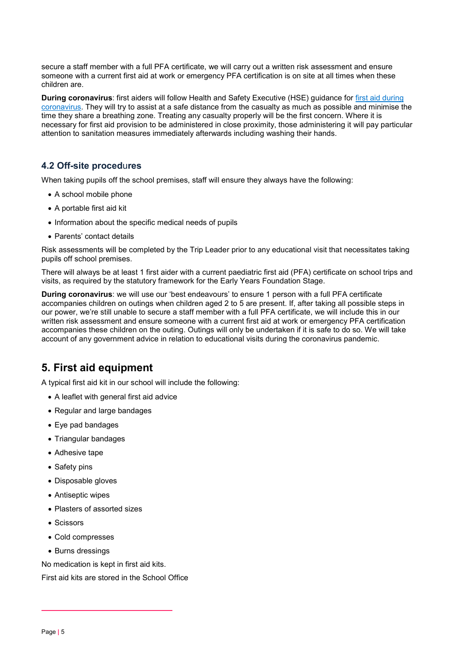secure a staff member with a full PFA certificate, we will carry out a written risk assessment and ensure someone with a current first aid at work or emergency PFA certification is on site at all times when these children are.

**During coronavirus**: first aiders will follow Health and Safety Executive (HSE) guidance for [first aid during](https://www.hse.gov.uk/coronavirus/first-aid-and-medicals/first-aid-certificate-coronavirus.htm)  [coronavirus.](https://www.hse.gov.uk/coronavirus/first-aid-and-medicals/first-aid-certificate-coronavirus.htm) They will try to assist at a safe distance from the casualty as much as possible and minimise the time they share a breathing zone. Treating any casualty properly will be the first concern. Where it is necessary for first aid provision to be administered in close proximity, those administering it will pay particular attention to sanitation measures immediately afterwards including washing their hands.

#### **4.2 Off-site proced**u**res**

When taking pupils off the school premises, staff will ensure they always have the following:

- A school mobile phone
- A portable first aid kit
- Information about the specific medical needs of pupils
- Parents' contact details

Risk assessments will be completed by the Trip Leader prior to any educational visit that necessitates taking pupils off school premises.

There will always be at least 1 first aider with a current paediatric first aid (PFA) certificate on school trips and visits, as required by the statutory framework for the Early Years Foundation Stage.

**During coronavirus**: we will use our 'best endeavours' to ensure 1 person with a full PFA certificate accompanies children on outings when children aged 2 to 5 are present. If, after taking all possible steps in our power, we're still unable to secure a staff member with a full PFA certificate, we will include this in our written risk assessment and ensure someone with a current first aid at work or emergency PFA certification accompanies these children on the outing. Outings will only be undertaken if it is safe to do so. We will take account of any government advice in relation to educational visits during the coronavirus pandemic.

## <span id="page-4-0"></span>**5. First aid equipment**

A typical first aid kit in our school will include the following:

- A leaflet with general first aid advice
- Regular and large bandages
- Eye pad bandages
- Triangular bandages
- Adhesive tape
- Safety pins
- Disposable gloves
- Antiseptic wipes
- Plasters of assorted sizes
- Scissors
- Cold compresses
- Burns dressings

No medication is kept in first aid kits.

First aid kits are stored in the School Office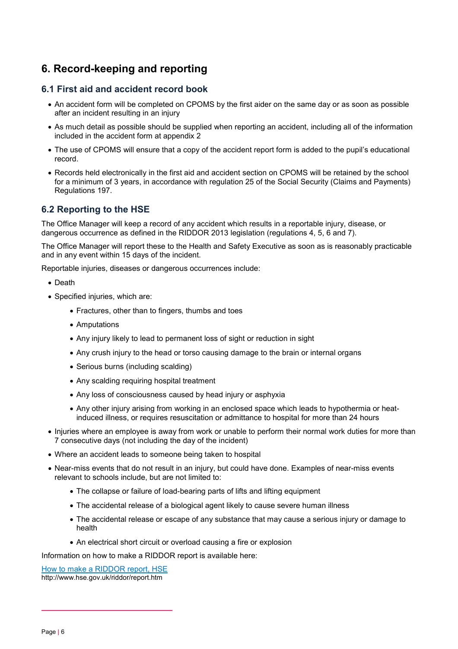## <span id="page-5-0"></span>**6. Record-keeping and reporting**

#### **6.1 First aid and accident record book**

- An accident form will be completed on CPOMS by the first aider on the same day or as soon as possible after an incident resulting in an injury
- As much detail as possible should be supplied when reporting an accident, including all of the information included in the accident form at appendix 2
- The use of CPOMS will ensure that a copy of the accident report form is added to the pupil's educational record.
- Records held electronically in the first aid and accident section on CPOMS will be retained by the school for a minimum of 3 years, in accordance with regulation 25 of the Social Security (Claims and Payments) Regulations 197.

#### **6.2 Reporting to the HSE**

The Office Manager will keep a record of any accident which results in a reportable injury, disease, or dangerous occurrence as defined in the RIDDOR 2013 legislation (regulations 4, 5, 6 and 7).

The Office Manager will report these to the Health and Safety Executive as soon as is reasonably practicable and in any event within 15 days of the incident.

Reportable injuries, diseases or dangerous occurrences include:

- Death
- Specified injuries, which are:
	- Fractures, other than to fingers, thumbs and toes
	- Amputations
	- Any injury likely to lead to permanent loss of sight or reduction in sight
	- Any crush injury to the head or torso causing damage to the brain or internal organs
	- Serious burns (including scalding)
	- Any scalding requiring hospital treatment
	- Any loss of consciousness caused by head injury or asphyxia
	- Any other injury arising from working in an enclosed space which leads to hypothermia or heatinduced illness, or requires resuscitation or admittance to hospital for more than 24 hours
- Injuries where an employee is away from work or unable to perform their normal work duties for more than 7 consecutive days (not including the day of the incident)
- Where an accident leads to someone being taken to hospital
- Near-miss events that do not result in an injury, but could have done. Examples of near-miss events relevant to schools include, but are not limited to:
	- The collapse or failure of load-bearing parts of lifts and lifting equipment
	- The accidental release of a biological agent likely to cause severe human illness
	- The accidental release or escape of any substance that may cause a serious injury or damage to health
	- An electrical short circuit or overload causing a fire or explosion

Information on how to make a RIDDOR report is available here:

[How to make a RIDDOR report, HSE](http://www.hse.gov.uk/riddor/report.htm) http://www.hse.gov.uk/riddor/report.htm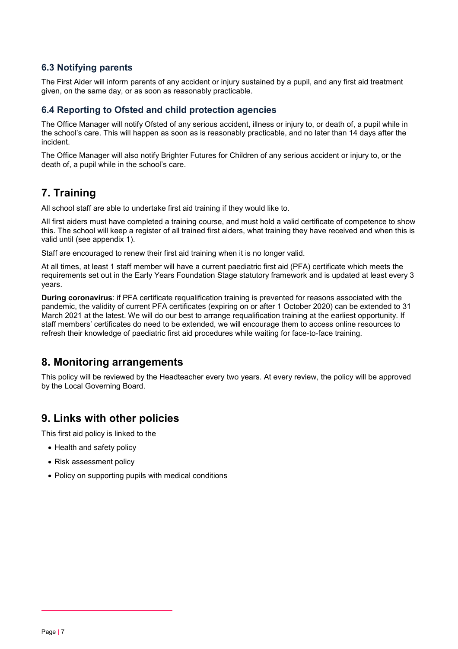#### **6.3 Notifying parents**

The First Aider will inform parents of any accident or injury sustained by a pupil, and any first aid treatment given, on the same day, or as soon as reasonably practicable.

#### **6.4 Reporting to Ofsted and child protection agencies**

The Office Manager will notify Ofsted of any serious accident, illness or injury to, or death of, a pupil while in the school's care. This will happen as soon as is reasonably practicable, and no later than 14 days after the incident.

The Office Manager will also notify Brighter Futures for Children of any serious accident or injury to, or the death of, a pupil while in the school's care.

## <span id="page-6-0"></span>**7. Training**

All school staff are able to undertake first aid training if they would like to.

All first aiders must have completed a training course, and must hold a valid certificate of competence to show this. The school will keep a register of all trained first aiders, what training they have received and when this is valid until (see appendix 1).

Staff are encouraged to renew their first aid training when it is no longer valid.

At all times, at least 1 staff member will have a current paediatric first aid (PFA) certificate which meets the requirements set out in the Early Years Foundation Stage statutory framework and is updated at least every 3 years.

**During coronavirus**: if PFA certificate requalification training is prevented for reasons associated with the pandemic, the validity of current PFA certificates (expiring on or after 1 October 2020) can be extended to 31 March 2021 at the latest. We will do our best to arrange requalification training at the earliest opportunity. If staff members' certificates do need to be extended, we will encourage them to access online resources to refresh their knowledge of paediatric first aid procedures while waiting for face-to-face training.

## <span id="page-6-1"></span>**8. Monitoring arrangements**

This policy will be reviewed by the Headteacher every two years. At every review, the policy will be approved by the Local Governing Board.

## <span id="page-6-2"></span>**9. Links with other policies**

This first aid policy is linked to the

- Health and safety policy
- Risk assessment policy
- <span id="page-6-3"></span>• Policy on supporting pupils with medical conditions